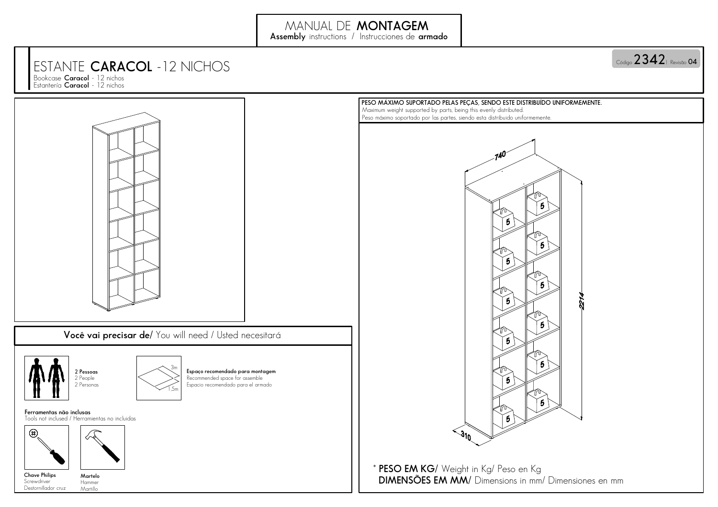## ESTANTE**CARACOL**-12 NICHOS

Bookcase **Caracol** - 12 nichos Estantería **Caracol**- 12 nichos



## **04**Código | Revisão **2342**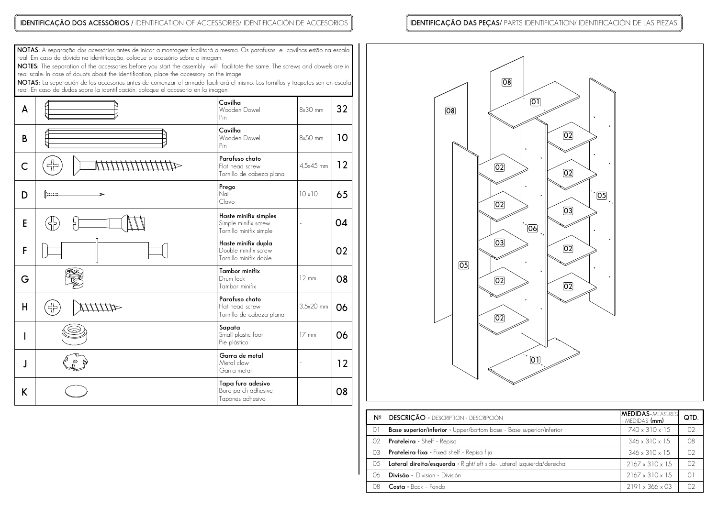## **IDENTIFICAÇÃO DOS ACESSÓRIOS /** IDENTIFICATION OF ACCESSORIES/ IDENTIFICACIÓN DE ACCESORIOS

## **IDENTIFICAÇÃO DAS PEÇAS/** PARTS IDENTIFICATION/ IDENTIFICACIÓN DE LAS PIEZAS

**NOTAS:**A separação dos acessórios antes de inicar a montagem facilitará a mesma. Os parafusos e cavilhas estão na escalareal. Em caso de dúvida na identificação, coloque o acessório sobre a imagem.

**NOTES:**The separation of the accessories before you start the assembly will facilitate the same. The screws and dowels are inreal scale. In case of doubts about the identification, place the accessory on the image.

**NOTAS:** La separación de los accesorios antes de comenzar el armado facilitaró<br>real. En caso de dudas sobre la identificación, coloque el accesorio en la imagen. La separación de los accesorios antes de comenzar el armado facilitará el mismo. Los tornillos y taquetes son en escala

| A |        | Cavilha<br>Wooden Dowel<br>Pin                                           | 8x30 mm         | 32 |
|---|--------|--------------------------------------------------------------------------|-----------------|----|
| B |        | Cavilha<br>Wooden Dowel<br>$\mathsf{Pin}$                                | 8x50 mm         | 10 |
| C | 꾞      | Parafuso chato<br>Flat head screw<br>Tornillo de cabeza plana            | 4.5x45 mm       | 12 |
| D | ستنتزأ | Prego<br>Nail<br>Clavo                                                   | 10x10           | 65 |
| E |        | Haste minifix simples<br>Simple minifix screw<br>Tornillo minifix simple |                 | 04 |
| F |        | Haste minifix dupla<br>Double minifix screw<br>Tornillo minifix doble    |                 | 02 |
| G |        | Tambor minifix<br>Drum lock<br>Tambor minifix                            | $12 \text{ mm}$ | 08 |
| Н | 卡      | Parafuso chato<br>Flat head screw<br>Tornillo de cabeza plana            | 3,5x20 mm       | 06 |
|   |        | Sapata<br>Small plastic foot<br>Pie plástico                             | $17 \text{ mm}$ | 06 |
| J |        | Garra de metal<br>Metal claw<br>Garra metal                              |                 | 12 |
| K |        | Tapa furo adesivo<br>Bore patch adhesive<br>Tapones adhesivo             |                 | 08 |



| Nº      | <b>DESCRIÇÃO - DESCRIPTION - DESCRIPCIÓN</b>                               | <b>MEDIDAS-MEASURES</b><br>- M <u>edidas <b>(mm)</b></u> | QTD.           |
|---------|----------------------------------------------------------------------------|----------------------------------------------------------|----------------|
| $\circ$ | <b>Base superior/inferior</b> - Upper/bottom base - Base superior/inferior | 740 x 310 x 15                                           | O <sub>2</sub> |
| 02      | Prateleira - Shelf - Repisa                                                | 346 x 310 x 15                                           | 08             |
| 03      | Prateleira fixa - Fixed shelf - Repisa fija                                | $346 \times 310 \times 15$                               | O <sub>2</sub> |
| -05     | Lateral direita/esquerda - Right/left side- Lateral izquierda/derecha      | $2167 \times 310 \times 15$                              | O <sub>2</sub> |
| 06      | <b>Divisão -</b> Division - División                                       | $2167 \times 310 \times 15$                              | $\bigcap$      |
| 08      | Costa - Back - Fondo                                                       | 2191 x 366 x 03                                          | O <sub>2</sub> |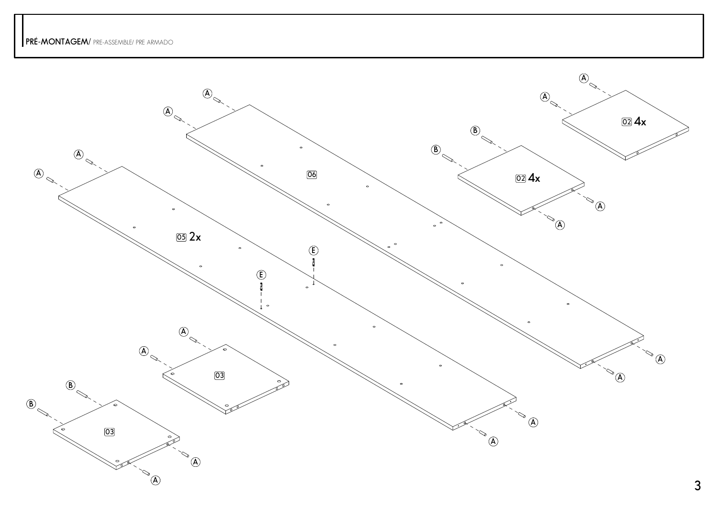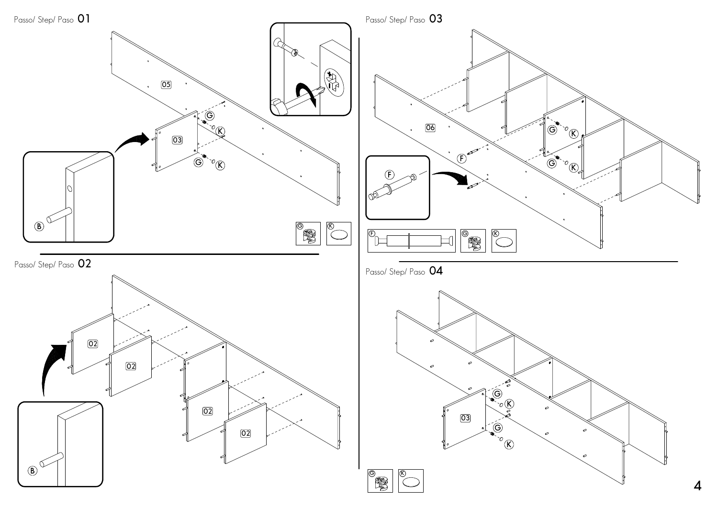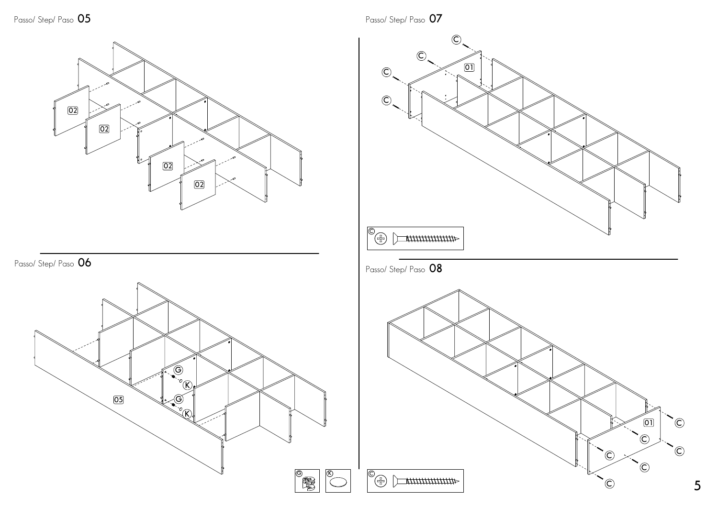**02020202**

**06**Passo/ Step/ Paso



Passo/ Step/ Paso **<sup>07</sup>**